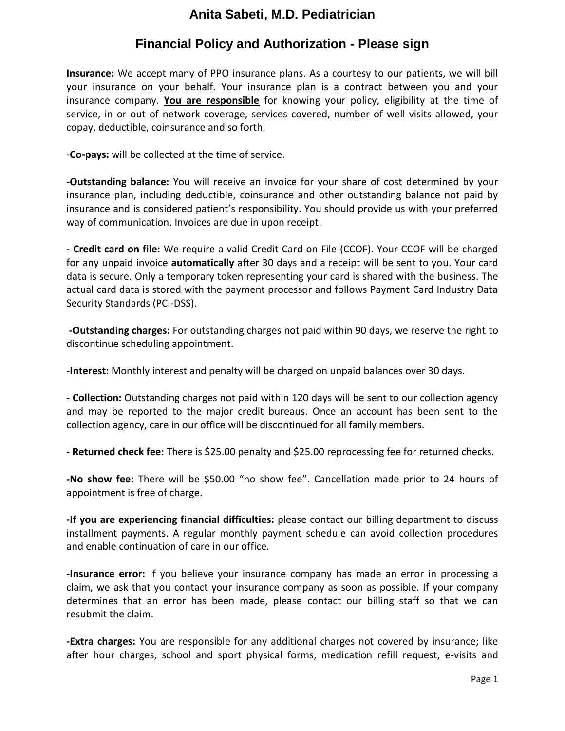# **Anita Sabeti, M.D. Pediatrician**

# **Financial Policy and Authorization - Please sign**

**Insurance:** We accept many of PPO insurance plans. As a courtesy to our patients, we will bill your insurance on your behalf. Your insurance plan is a contract between you and your insurance company. **You are responsible** for knowing your policy, eligibility at the time of service, in or out of network coverage, services covered, number of well visits allowed, your copay, deductible, coinsurance and so forth.

-**Co-pays:** will be collected at the time of service.

-**Outstanding balance:** You will receive an invoice for your share of cost determined by your insurance plan, including deductible, coinsurance and other outstanding balance not paid by insurance and is considered patient's responsibility. You should provide us with your preferred way of communication. Invoices are due in upon receipt.

**- Credit card on file:** We require a valid Credit Card on File (CCOF). Your CCOF will be charged for any unpaid invoice **automatically** after 30 days and a receipt will be sent to you. Your card data is secure. Only a temporary token representing your card is shared with the business. The actual card data is stored with the payment processor and follows Payment Card Industry Data Security Standards (PCI-DSS).

**-Outstanding charges:** For outstanding charges not paid within 90 days, we reserve the right to discontinue scheduling appointment.

**-Interest:** Monthly interest and penalty will be charged on unpaid balances over 30 days.

**- Collection:** Outstanding charges not paid within 120 days will be sent to our collection agency and may be reported to the major credit bureaus. Once an account has been sent to the collection agency, care in our office will be discontinued for all family members.

**- Returned check fee:** There is \$25.00 penalty and \$25.00 reprocessing fee for returned checks.

**-No show fee:** There will be \$50.00 "no show fee". Cancellation made prior to 24 hours of appointment is free of charge.

**-If you are experiencing financial difficulties:** please contact our billing department to discuss installment payments. A regular monthly payment schedule can avoid collection procedures and enable continuation of care in our office.

**-Insurance error:** If you believe your insurance company has made an error in processing a claim, we ask that you contact your insurance company as soon as possible. If your company determines that an error has been made, please contact our billing staff so that we can resubmit the claim.

**-Extra charges:** You are responsible for any additional charges not covered by insurance; like after hour charges, school and sport physical forms, medication refill request, e-visits and